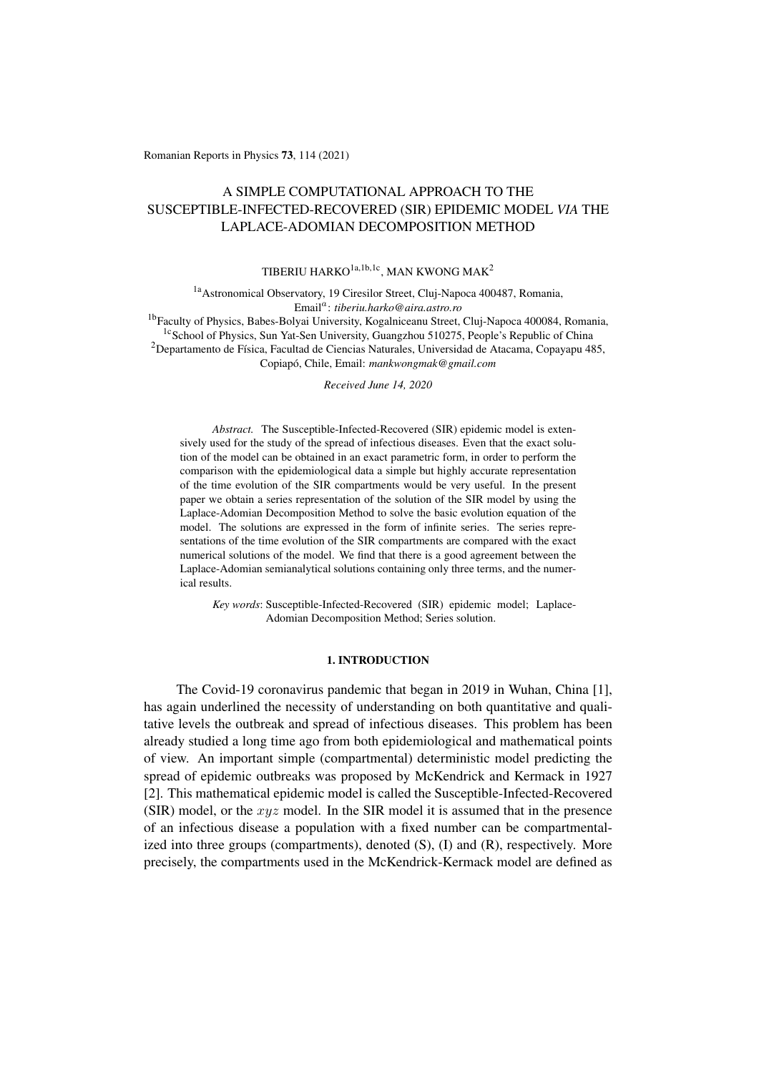Romanian Reports in Physics 73, 114 (2021)

# A SIMPLE COMPUTATIONAL APPROACH TO THE SUSCEPTIBLE-INFECTED-RECOVERED (SIR) EPIDEMIC MODEL *VIA* THE LAPLACE-ADOMIAN DECOMPOSITION METHOD

# TIBERIU HARKO<sup>1a,1b,1c</sup>, MAN KWONG MAK<sup>2</sup>

<sup>1a</sup> Astronomical Observatory, 19 Ciresilor Street, Cluj-Napoca 400487, Romania, Email*a*: *tiberiu.harko@aira.astro.ro*

<sup>1b</sup>Faculty of Physics, Babes-Bolyai University, Kogalniceanu Street, Cluj-Napoca 400084, Romania, <sup>1c</sup>School of Physics, Sun Yat-Sen University, Guangzhou 510275, People's Republic of China

 $2$ Departamento de Física, Facultad de Ciencias Naturales, Universidad de Atacama, Copayapu 485, Copiapó, Chile, Email: mankwongmak@gmail.com

*Received June 14, 2020*

*Abstract.* The Susceptible-Infected-Recovered (SIR) epidemic model is extensively used for the study of the spread of infectious diseases. Even that the exact solution of the model can be obtained in an exact parametric form, in order to perform the comparison with the epidemiological data a simple but highly accurate representation of the time evolution of the SIR compartments would be very useful. In the present paper we obtain a series representation of the solution of the SIR model by using the Laplace-Adomian Decomposition Method to solve the basic evolution equation of the model. The solutions are expressed in the form of infinite series. The series representations of the time evolution of the SIR compartments are compared with the exact numerical solutions of the model. We find that there is a good agreement between the Laplace-Adomian semianalytical solutions containing only three terms, and the numerical results.

*Key words*: Susceptible-Infected-Recovered (SIR) epidemic model; Laplace-Adomian Decomposition Method; Series solution.

### 1. INTRODUCTION

The Covid-19 coronavirus pandemic that began in 2019 in Wuhan, China [1], has again underlined the necessity of understanding on both quantitative and qualitative levels the outbreak and spread of infectious diseases. This problem has been already studied a long time ago from both epidemiological and mathematical points of view. An important simple (compartmental) deterministic model predicting the spread of epidemic outbreaks was proposed by McKendrick and Kermack in 1927 [2]. This mathematical epidemic model is called the Susceptible-Infected-Recovered (SIR) model, or the *xyz* model. In the SIR model it is assumed that in the presence of an infectious disease a population with a fixed number can be compartmentalized into three groups (compartments), denoted  $(S)$ ,  $(I)$  and  $(R)$ , respectively. More precisely, the compartments used in the McKendrick-Kermack model are defined as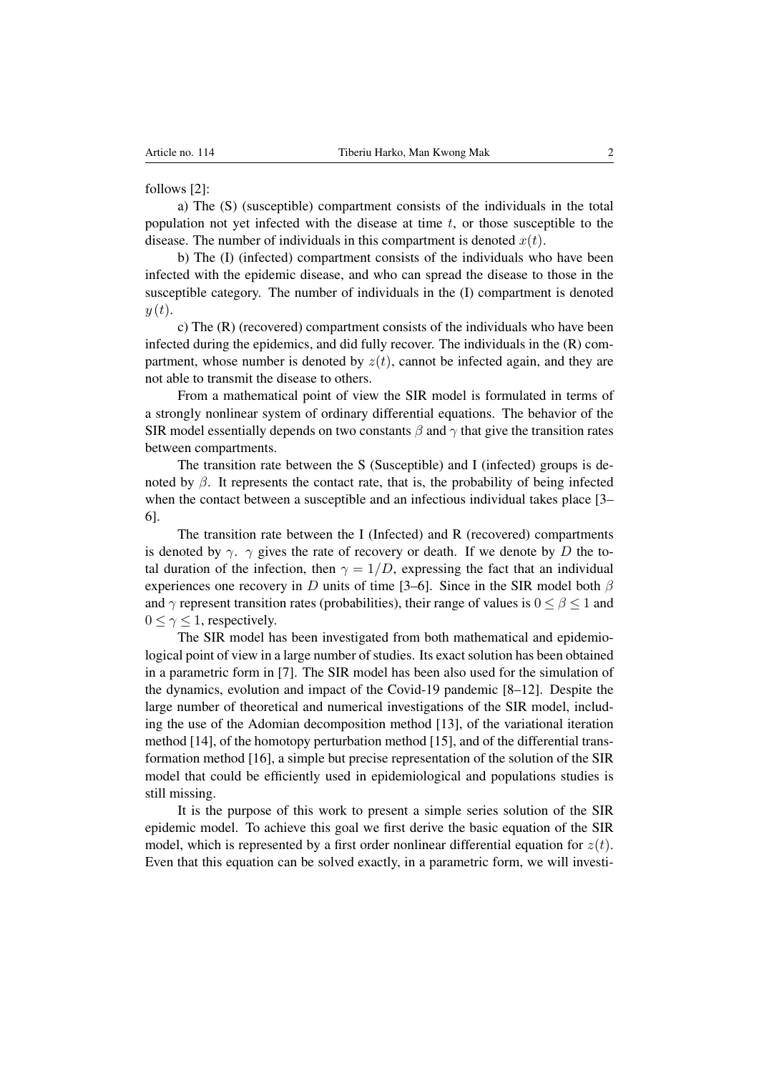follows [2]:

a) The (S) (susceptible) compartment consists of the individuals in the total population not yet infected with the disease at time *t*, or those susceptible to the disease. The number of individuals in this compartment is denoted  $x(t)$ .

b) The (I) (infected) compartment consists of the individuals who have been infected with the epidemic disease, and who can spread the disease to those in the susceptible category. The number of individuals in the (I) compartment is denoted  $y(t)$ .

c) The (R) (recovered) compartment consists of the individuals who have been infected during the epidemics, and did fully recover. The individuals in the (R) compartment, whose number is denoted by  $z(t)$ , cannot be infected again, and they are not able to transmit the disease to others.

From a mathematical point of view the SIR model is formulated in terms of a strongly nonlinear system of ordinary differential equations. The behavior of the SIR model essentially depends on two constants  $\beta$  and  $\gamma$  that give the transition rates between compartments.

The transition rate between the S (Susceptible) and I (infected) groups is denoted by  $\beta$ . It represents the contact rate, that is, the probability of being infected when the contact between a susceptible and an infectious individual takes place [3– 6].

The transition rate between the I (Infected) and R (recovered) compartments is denoted by  $\gamma$ .  $\gamma$  gives the rate of recovery or death. If we denote by *D* the total duration of the infection, then  $\gamma = 1/D$ , expressing the fact that an individual experiences one recovery in *D* units of time [3–6]. Since in the SIR model both  $\beta$ and  $\gamma$  represent transition rates (probabilities), their range of values is  $0 \le \beta \le 1$  and  $0 \le \gamma \le 1$ , respectively.

The SIR model has been investigated from both mathematical and epidemiological point of view in a large number of studies. Its exact solution has been obtained in a parametric form in [7]. The SIR model has been also used for the simulation of the dynamics, evolution and impact of the Covid-19 pandemic [8–12]. Despite the large number of theoretical and numerical investigations of the SIR model, including the use of the Adomian decomposition method [13], of the variational iteration method [14], of the homotopy perturbation method [15], and of the differential transformation method [16], a simple but precise representation of the solution of the SIR model that could be efficiently used in epidemiological and populations studies is still missing.

It is the purpose of this work to present a simple series solution of the SIR epidemic model. To achieve this goal we first derive the basic equation of the SIR model, which is represented by a first order nonlinear differential equation for  $z(t)$ . Even that this equation can be solved exactly, in a parametric form, we will investi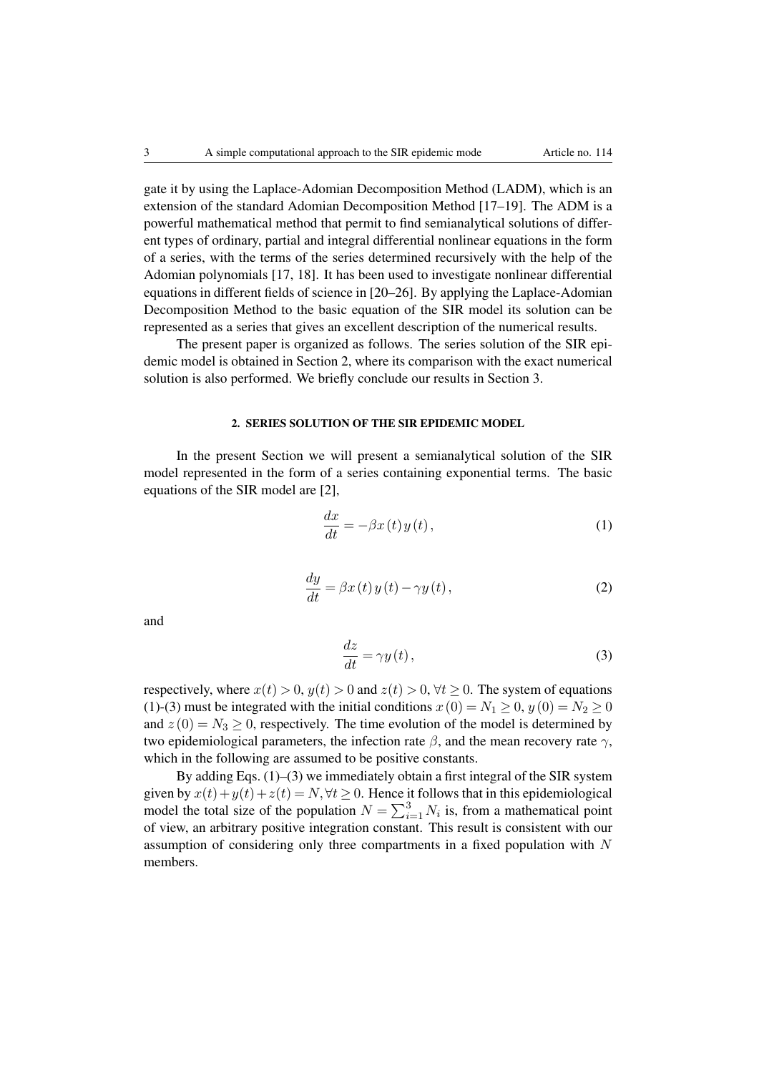gate it by using the Laplace-Adomian Decomposition Method (LADM), which is an extension of the standard Adomian Decomposition Method [17–19]. The ADM is a powerful mathematical method that permit to find semianalytical solutions of different types of ordinary, partial and integral differential nonlinear equations in the form of a series, with the terms of the series determined recursively with the help of the Adomian polynomials [17, 18]. It has been used to investigate nonlinear differential equations in different fields of science in [20–26]. By applying the Laplace-Adomian Decomposition Method to the basic equation of the SIR model its solution can be represented as a series that gives an excellent description of the numerical results.

The present paper is organized as follows. The series solution of the SIR epidemic model is obtained in Section 2, where its comparison with the exact numerical solution is also performed. We briefly conclude our results in Section 3.

## 2. SERIES SOLUTION OF THE SIR EPIDEMIC MODEL

In the present Section we will present a semianalytical solution of the SIR model represented in the form of a series containing exponential terms. The basic equations of the SIR model are [2],

$$
\frac{dx}{dt} = -\beta x(t) y(t),\tag{1}
$$

$$
\frac{dy}{dt} = \beta x(t) y(t) - \gamma y(t),\tag{2}
$$

and

$$
\frac{dz}{dt} = \gamma y(t),\tag{3}
$$

respectively, where  $x(t) > 0$ ,  $y(t) > 0$  and  $z(t) > 0$ ,  $\forall t > 0$ . The system of equations (1)-(3) must be integrated with the initial conditions  $x(0) = N_1 \ge 0$ ,  $y(0) = N_2 \ge 0$ and  $z(0) = N_3 \ge 0$ , respectively. The time evolution of the model is determined by two epidemiological parameters, the infection rate  $\beta$ , and the mean recovery rate  $\gamma$ , which in the following are assumed to be positive constants.

By adding Eqs.  $(1)$ – $(3)$  we immediately obtain a first integral of the SIR system given by  $x(t) + y(t) + z(t) = N, \forall t \ge 0$ . Hence it follows that in this epidemiological model the total size of the population  $N = \sum_{i=1}^{3} N_i$  is, from a mathematical point of view, an arbitrary positive integration constant. This result is consistent with our assumption of considering only three compartments in a fixed population with *N* members.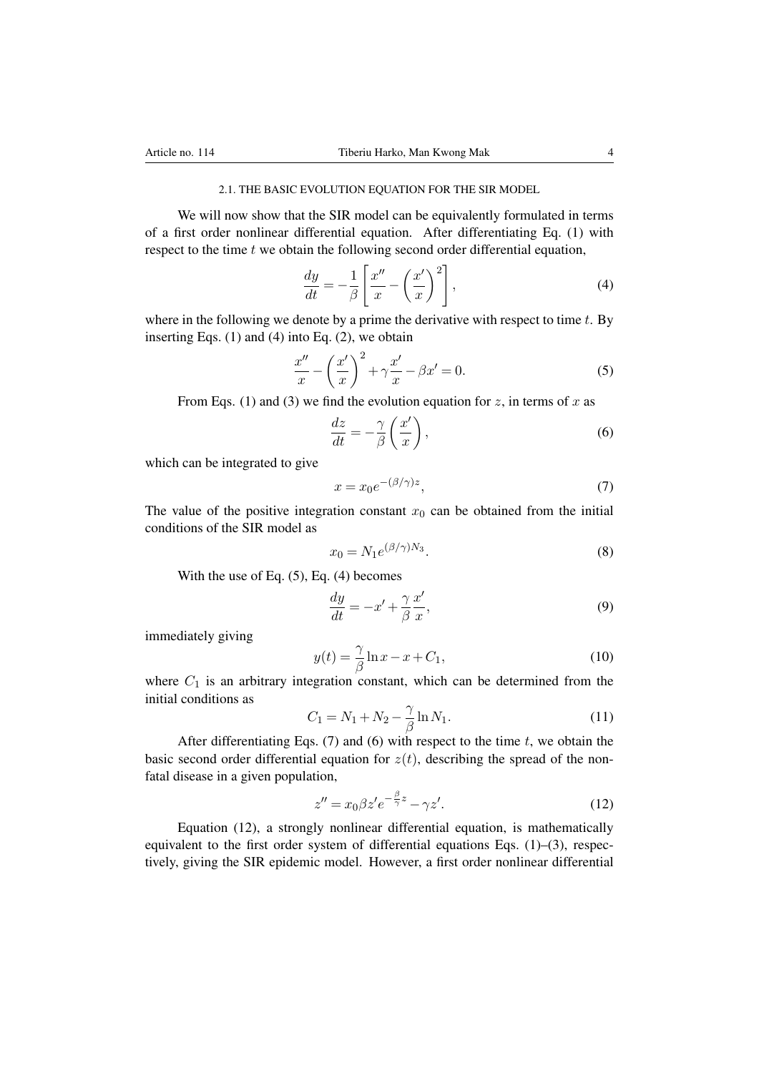### 2.1. THE BASIC EVOLUTION EQUATION FOR THE SIR MODEL

We will now show that the SIR model can be equivalently formulated in terms of a first order nonlinear differential equation. After differentiating Eq. (1) with respect to the time *t* we obtain the following second order differential equation,

$$
\frac{dy}{dt} = -\frac{1}{\beta} \left[ \frac{x''}{x} - \left(\frac{x'}{x}\right)^2 \right],\tag{4}
$$

where in the following we denote by a prime the derivative with respect to time *t*. By inserting Eqs.  $(1)$  and  $(4)$  into Eq.  $(2)$ , we obtain

$$
\frac{x''}{x} - \left(\frac{x'}{x}\right)^2 + \gamma \frac{x'}{x} - \beta x' = 0.
$$
\n(5)

From Eqs. (1) and (3) we find the evolution equation for *z*, in terms of *x* as

$$
\frac{dz}{dt} = -\frac{\gamma}{\beta} \left( \frac{x'}{x} \right),\tag{6}
$$

which can be integrated to give

$$
x = x_0 e^{-(\beta/\gamma)z},\tag{7}
$$

The value of the positive integration constant  $x_0$  can be obtained from the initial conditions of the SIR model as

$$
x_0 = N_1 e^{(\beta/\gamma)N_3}.\tag{8}
$$

With the use of Eq. (5), Eq. (4) becomes

$$
\frac{dy}{dt} = -x' + \frac{\gamma}{\beta} \frac{x'}{x},\tag{9}
$$

immediately giving

$$
y(t) = \frac{\gamma}{\beta} \ln x - x + C_1,\tag{10}
$$

where  $C_1$  is an arbitrary integration constant, which can be determined from the initial conditions as

$$
C_1 = N_1 + N_2 - \frac{\gamma}{\beta} \ln N_1.
$$
 (11)

After differentiating Eqs. (7) and (6) with respect to the time *t*, we obtain the basic second order differential equation for  $z(t)$ , describing the spread of the nonfatal disease in a given population,

$$
z'' = x_0 \beta z' e^{-\frac{\beta}{\gamma}z} - \gamma z'. \tag{12}
$$

Equation (12), a strongly nonlinear differential equation, is mathematically equivalent to the first order system of differential equations Eqs. (1)–(3), respectively, giving the SIR epidemic model. However, a first order nonlinear differential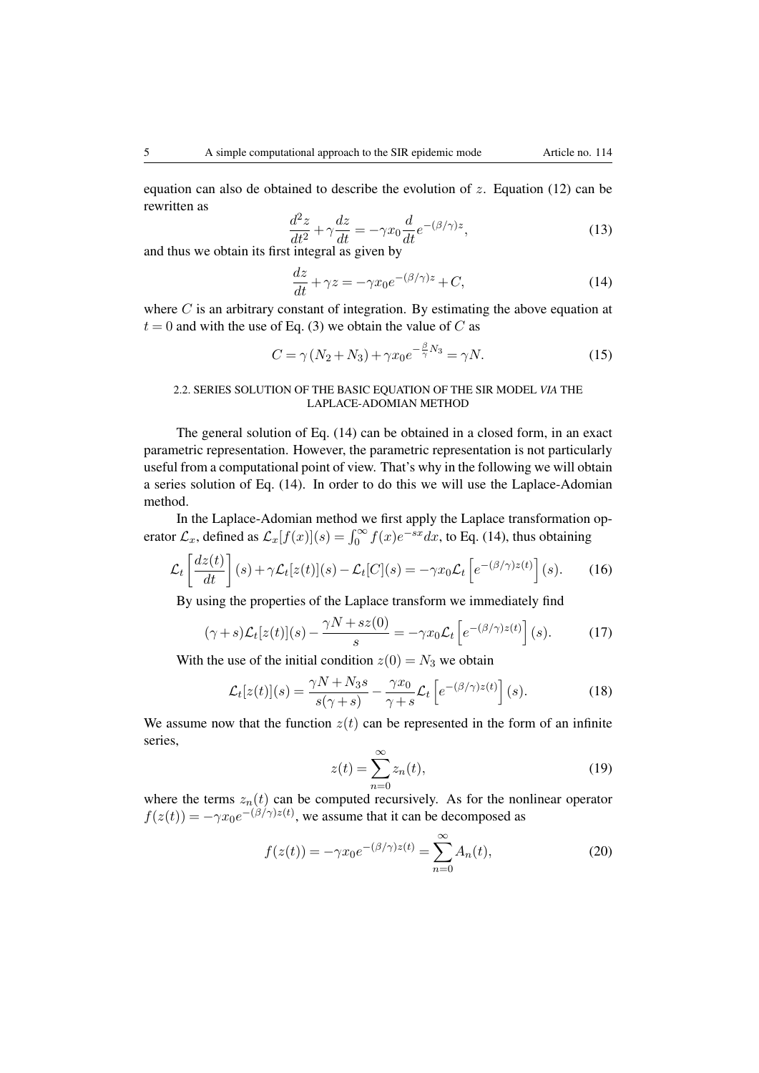equation can also de obtained to describe the evolution of *z*. Equation (12) can be rewritten as

$$
\frac{d^2z}{dt^2} + \gamma \frac{dz}{dt} = -\gamma x_0 \frac{d}{dt} e^{-(\beta/\gamma)z},\tag{13}
$$

and thus we obtain its first integral as given by

$$
\frac{dz}{dt} + \gamma z = -\gamma x_0 e^{-(\beta/\gamma)z} + C,\tag{14}
$$

where *C* is an arbitrary constant of integration. By estimating the above equation at  $t = 0$  and with the use of Eq. (3) we obtain the value of *C* as

$$
C = \gamma (N_2 + N_3) + \gamma x_0 e^{-\frac{\beta}{\gamma} N_3} = \gamma N.
$$
 (15)

## 2.2. SERIES SOLUTION OF THE BASIC EQUATION OF THE SIR MODEL *VIA* THE LAPLACE-ADOMIAN METHOD

The general solution of Eq. (14) can be obtained in a closed form, in an exact parametric representation. However, the parametric representation is not particularly useful from a computational point of view. That's why in the following we will obtain a series solution of Eq. (14). In order to do this we will use the Laplace-Adomian method.

In the Laplace-Adomian method we first apply the Laplace transformation operator  $\mathcal{L}_x$ , defined as  $\mathcal{L}_x[f(x)](s) = \int_0^\infty f(x)e^{-sx}dx$ , to Eq. (14), thus obtaining

$$
\mathcal{L}_t\left[\frac{dz(t)}{dt}\right](s) + \gamma \mathcal{L}_t[z(t)](s) - \mathcal{L}_t[C](s) = -\gamma x_0 \mathcal{L}_t\left[e^{-(\beta/\gamma)z(t)}\right](s).
$$
 (16)

By using the properties of the Laplace transform we immediately find

$$
(\gamma + s)\mathcal{L}_t[z(t)](s) - \frac{\gamma N + sz(0)}{s} = -\gamma x_0 \mathcal{L}_t\left[e^{-(\beta/\gamma)z(t)}\right](s).
$$
 (17)

With the use of the initial condition  $z(0) = N_3$  we obtain

$$
\mathcal{L}_t[z(t)](s) = \frac{\gamma N + N_3 s}{s(\gamma + s)} - \frac{\gamma x_0}{\gamma + s} \mathcal{L}_t\left[e^{-(\beta/\gamma)z(t)}\right](s).
$$
 (18)

We assume now that the function  $z(t)$  can be represented in the form of an infinite series,

$$
z(t) = \sum_{n=0}^{\infty} z_n(t),
$$
\n(19)

where the terms  $z_n(t)$  can be computed recursively. As for the nonlinear operator  $f(z(t)) = -\gamma x_0 e^{-(\beta/\gamma)z(t)}$ , we assume that it can be decomposed as

$$
f(z(t)) = -\gamma x_0 e^{-(\beta/\gamma)z(t)} = \sum_{n=0}^{\infty} A_n(t),
$$
\n(20)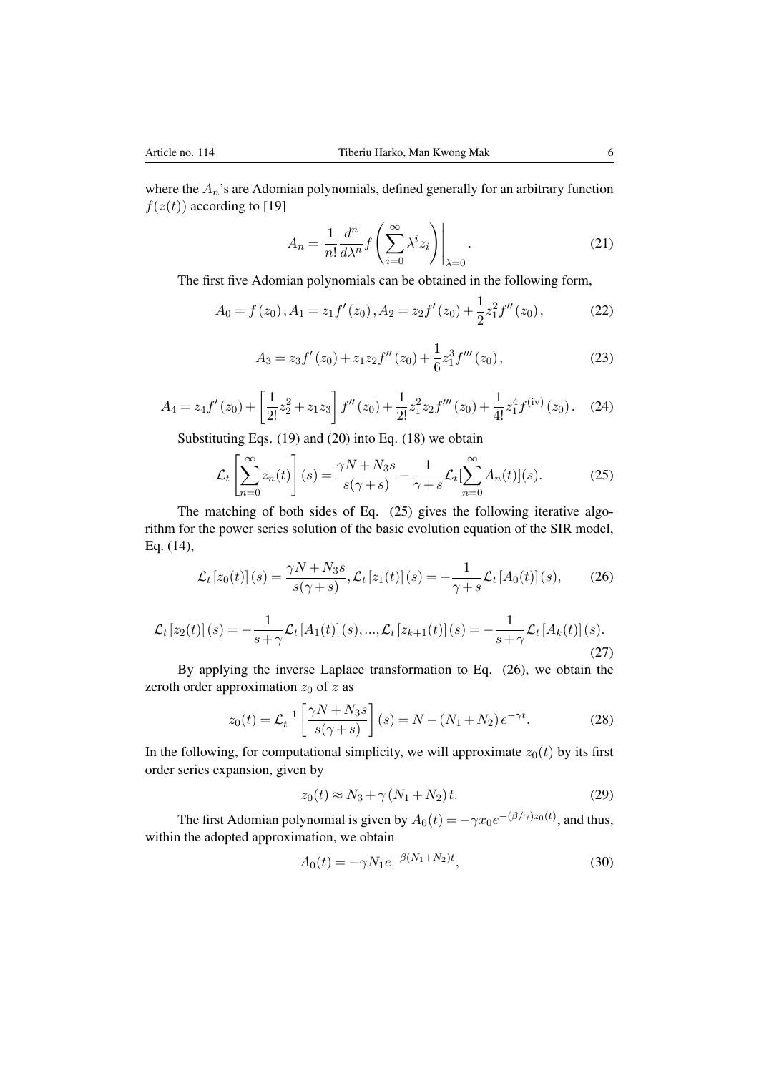where the  $A_n$ 's are Adomian polynomials, defined generally for an arbitrary function  $f(z(t))$  according to [19]

$$
A_n = \frac{1}{n!} \frac{d^n}{d\lambda^n} f\left(\sum_{i=0}^{\infty} \lambda^i z_i\right)\Big|_{\lambda=0}.
$$
 (21)

The first five Adomian polynomials can be obtained in the following form,

$$
A_0 = f(z_0), A_1 = z_1 f'(z_0), A_2 = z_2 f'(z_0) + \frac{1}{2} z_1^2 f''(z_0),
$$
 (22)

$$
A_3 = z_3 f'(z_0) + z_1 z_2 f''(z_0) + \frac{1}{6} z_1^3 f'''(z_0), \qquad (23)
$$

$$
A_4 = z_4 f'(z_0) + \left[\frac{1}{2!}z_2^2 + z_1 z_3\right] f''(z_0) + \frac{1}{2!}z_1^2 z_2 f'''(z_0) + \frac{1}{4!}z_1^4 f^{(iv)}(z_0). \tag{24}
$$

Substituting Eqs. (19) and (20) into Eq. (18) we obtain

$$
\mathcal{L}_t\left[\sum_{n=0}^{\infty} z_n(t)\right](s) = \frac{\gamma N + N_3 s}{s(\gamma + s)} - \frac{1}{\gamma + s} \mathcal{L}_t[\sum_{n=0}^{\infty} A_n(t)](s).
$$
 (25)

The matching of both sides of Eq. (25) gives the following iterative algorithm for the power series solution of the basic evolution equation of the SIR model, Eq. (14),

$$
\mathcal{L}_t[z_0(t)](s) = \frac{\gamma N + N_3 s}{s(\gamma + s)}, \mathcal{L}_t[z_1(t)](s) = -\frac{1}{\gamma + s} \mathcal{L}_t[A_0(t)](s), \tag{26}
$$

$$
\mathcal{L}_t[z_2(t)](s) = -\frac{1}{s+\gamma} \mathcal{L}_t[A_1(t)](s), \dots, \mathcal{L}_t[z_{k+1}(t)](s) = -\frac{1}{s+\gamma} \mathcal{L}_t[A_k(t)](s).
$$
\n(27)

By applying the inverse Laplace transformation to Eq. (26), we obtain the zeroth order approximation *z*<sup>0</sup> of *z* as

$$
z_0(t) = \mathcal{L}_t^{-1} \left[ \frac{\gamma N + N_3 s}{s(\gamma + s)} \right] (s) = N - (N_1 + N_2) e^{-\gamma t}.
$$
 (28)

In the following, for computational simplicity, we will approximate  $z_0(t)$  by its first order series expansion, given by

$$
z_0(t) \approx N_3 + \gamma (N_1 + N_2) t. \tag{29}
$$

The first Adomian polynomial is given by  $A_0(t) = -\gamma x_0 e^{-(\beta/\gamma)z_0(t)}$ , and thus, within the adopted approximation, we obtain

$$
A_0(t) = -\gamma N_1 e^{-\beta (N_1 + N_2)t}, \tag{30}
$$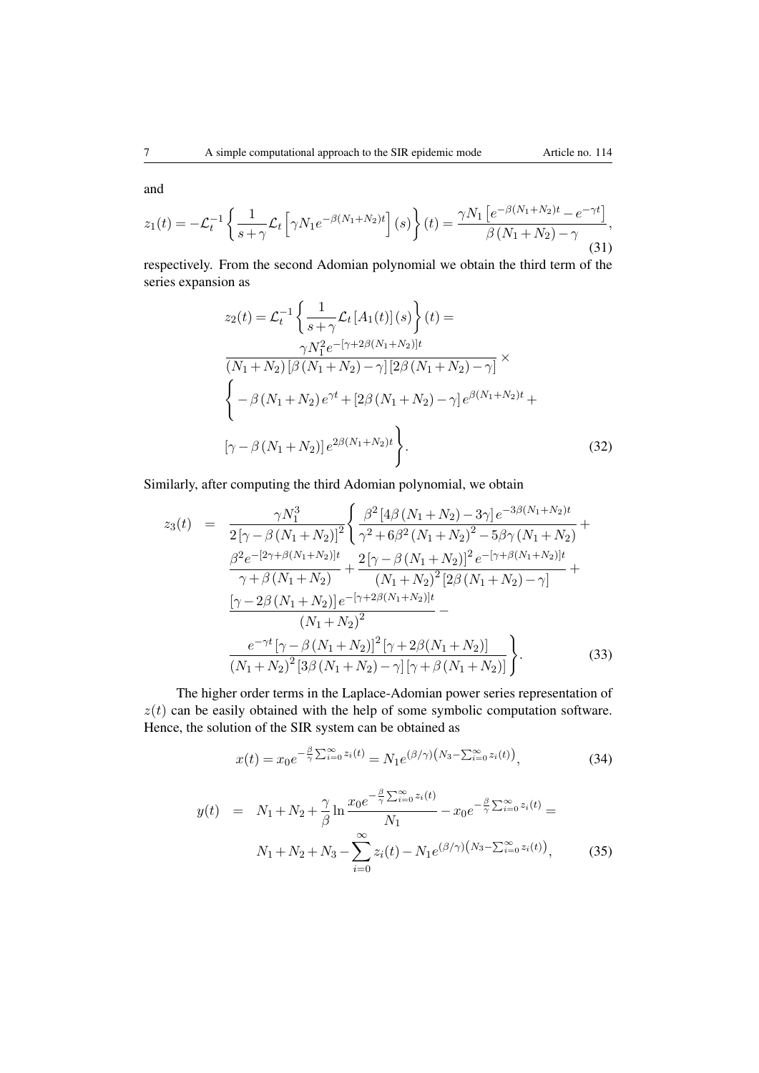and

$$
z_1(t) = -\mathcal{L}_t^{-1} \left\{ \frac{1}{s + \gamma} \mathcal{L}_t \left[ \gamma N_1 e^{-\beta (N_1 + N_2)t} \right] (s) \right\}(t) = \frac{\gamma N_1 \left[ e^{-\beta (N_1 + N_2)t} - e^{-\gamma t} \right]}{\beta (N_1 + N_2) - \gamma},
$$
\n(31)

respectively. From the second Adomian polynomial we obtain the third term of the series expansion as

$$
z_2(t) = \mathcal{L}_t^{-1} \left\{ \frac{1}{s + \gamma} \mathcal{L}_t \left[ A_1(t) \right](s) \right\}(t) =
$$
  

$$
\frac{\gamma N_1^2 e^{-\left[ \gamma + 2\beta (N_1 + N_2) \right]t}}{(N_1 + N_2) \left[ \beta \left( N_1 + N_2 \right) - \gamma \right] \left[ 2\beta \left( N_1 + N_2 \right) - \gamma \right]} \times
$$
  

$$
\left\{ -\beta \left( N_1 + N_2 \right) e^{\gamma t} + \left[ 2\beta \left( N_1 + N_2 \right) - \gamma \right] e^{\beta (N_1 + N_2)t} +
$$
  

$$
\left[ \gamma - \beta \left( N_1 + N_2 \right) \right] e^{2\beta (N_1 + N_2)t} \right\}.
$$
 (32)

Similarly, after computing the third Adomian polynomial, we obtain

$$
z_{3}(t) = \frac{\gamma N_{1}^{3}}{2\left[\gamma - \beta\left(N_{1} + N_{2}\right)\right]^{2}} \left\{ \frac{\beta^{2}\left[4\beta\left(N_{1} + N_{2}\right) - 3\gamma\right]e^{-3\beta\left(N_{1} + N_{2}\right)t}}{\gamma^{2} + 6\beta^{2}\left(N_{1} + N_{2}\right)^{2} - 5\beta\gamma\left(N_{1} + N_{2}\right)} + \frac{\beta^{2}e^{-\left[2\gamma + \beta\left(N_{1} + N_{2}\right)\right]t}}{\gamma + \beta\left(N_{1} + N_{2}\right)} + \frac{2\left[\gamma - \beta\left(N_{1} + N_{2}\right)\right]^{2}e^{-\left[\gamma + \beta\left(N_{1} + N_{2}\right)\right]t}}{\left(N_{1} + N_{2}\right)^{2}\left[2\beta\left(N_{1} + N_{2}\right) - \gamma\right]} + \frac{\left[\gamma - 2\beta\left(N_{1} + N_{2}\right)\right]e^{-\left[\gamma + 2\beta\left(N_{1} + N_{2}\right)\right]t}}{\left(N_{1} + N_{2}\right)^{2}} - \frac{e^{-\gamma t}\left[\gamma - \beta\left(N_{1} + N_{2}\right)\right]^{2}\left[\gamma + 2\beta\left(N_{1} + N_{2}\right)\right]}{\left(N_{1} + N_{2}\right)^{2}\left[3\beta\left(N_{1} + N_{2}\right) - \gamma\right]\left[\gamma + \beta\left(N_{1} + N_{2}\right)\right]}\right\}.
$$
\n(33)

The higher order terms in the Laplace-Adomian power series representation of  $z(t)$  can be easily obtained with the help of some symbolic computation software. Hence, the solution of the SIR system can be obtained as

$$
x(t) = x_0 e^{-\frac{\beta}{\gamma} \sum_{i=0}^{\infty} z_i(t)} = N_1 e^{(\beta/\gamma) (N_3 - \sum_{i=0}^{\infty} z_i(t))},
$$
\n(34)

$$
y(t) = N_1 + N_2 + \frac{\gamma}{\beta} \ln \frac{x_0 e^{-\frac{\beta}{\gamma} \sum_{i=0}^{\infty} z_i(t)}}{N_1} - x_0 e^{-\frac{\beta}{\gamma} \sum_{i=0}^{\infty} z_i(t)} = N_1 + N_2 + N_3 - \sum_{i=0}^{\infty} z_i(t) - N_1 e^{(\beta/\gamma) (N_3 - \sum_{i=0}^{\infty} z_i(t))},
$$
(35)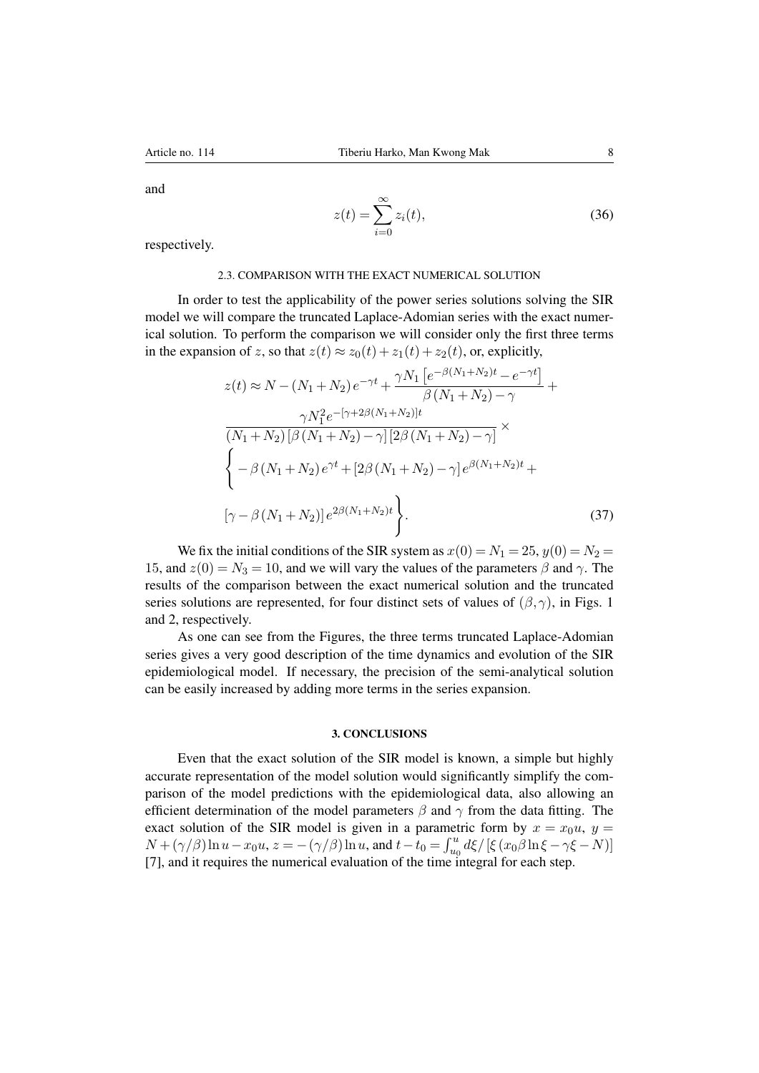and

$$
z(t) = \sum_{i=0}^{\infty} z_i(t),
$$
\n(36)

respectively.

## 2.3. COMPARISON WITH THE EXACT NUMERICAL SOLUTION

In order to test the applicability of the power series solutions solving the SIR model we will compare the truncated Laplace-Adomian series with the exact numerical solution. To perform the comparison we will consider only the first three terms in the expansion of *z*, so that  $z(t) \approx z_0(t) + z_1(t) + z_2(t)$ , or, explicitly,

$$
z(t) \approx N - (N_1 + N_2) e^{-\gamma t} + \frac{\gamma N_1 \left[ e^{-\beta (N_1 + N_2)t} - e^{-\gamma t} \right]}{\beta (N_1 + N_2) - \gamma} + \frac{\gamma N_1^2 e^{-\left[ \gamma + 2\beta (N_1 + N_2) \right]t}}{\left[ (N_1 + N_2) \left[ \beta (N_1 + N_2) - \gamma \right] \left[ 2\beta (N_1 + N_2) - \gamma \right]} \times \left\{ -\beta (N_1 + N_2) e^{\gamma t} + \left[ 2\beta (N_1 + N_2) - \gamma \right] e^{\beta (N_1 + N_2)t} + \left[ \gamma - \beta (N_1 + N_2) \right] e^{2\beta (N_1 + N_2)t} \right\}.
$$
\n(37)

We fix the initial conditions of the SIR system as  $x(0) = N_1 = 25$ ,  $y(0) = N_2 =$ 15, and  $z(0) = N_3 = 10$ , and we will vary the values of the parameters  $\beta$  and  $\gamma$ . The results of the comparison between the exact numerical solution and the truncated series solutions are represented, for four distinct sets of values of  $(\beta, \gamma)$ , in Figs. 1 and 2, respectively.

As one can see from the Figures, the three terms truncated Laplace-Adomian series gives a very good description of the time dynamics and evolution of the SIR epidemiological model. If necessary, the precision of the semi-analytical solution can be easily increased by adding more terms in the series expansion.

## 3. CONCLUSIONS

Even that the exact solution of the SIR model is known, a simple but highly accurate representation of the model solution would significantly simplify the comparison of the model predictions with the epidemiological data, also allowing an efficient determination of the model parameters  $\beta$  and  $\gamma$  from the data fitting. The exact solution of the SIR model is given in a parametric form by  $x = x_0u$ ,  $y =$  $N + (\gamma/\beta)\ln u - x_0 u, z = -(\gamma/\beta)\ln u$ , and  $t - t_0 = \int_{u_0}^u d\xi / [\xi(x_0/\beta \ln \xi - \gamma \xi - N)]$ [7], and it requires the numerical evaluation of the time integral for each step.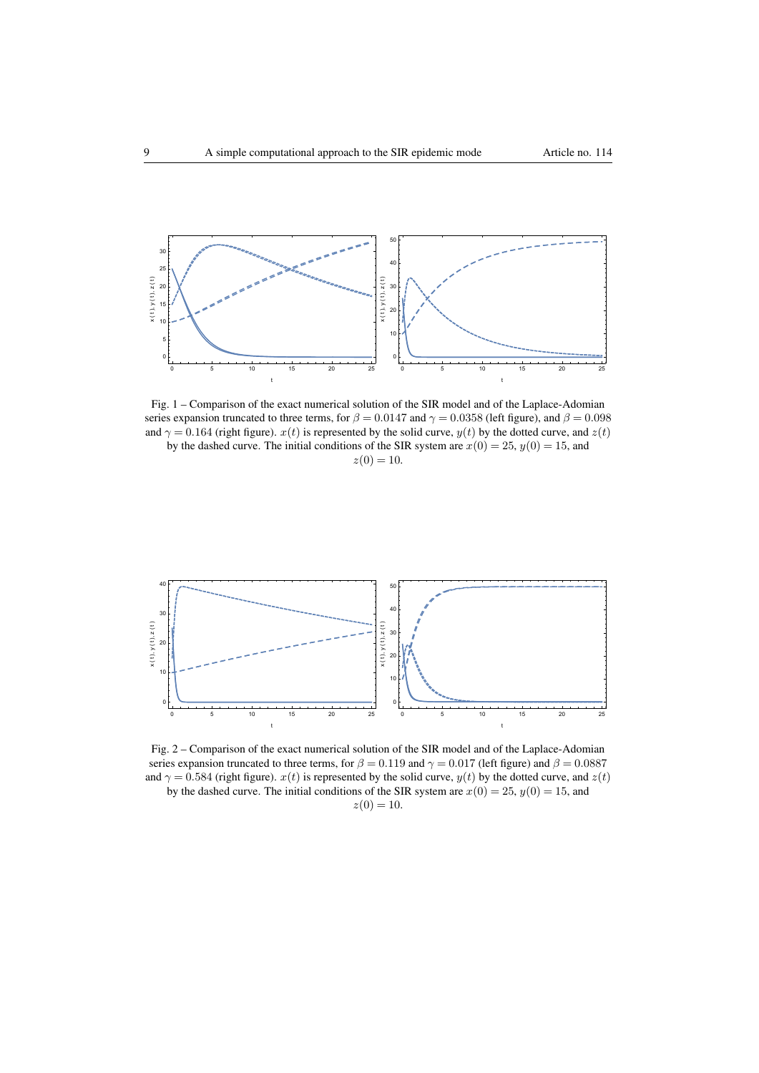

Fig. 1 – Comparison of the exact numerical solution of the SIR model and of the Laplace-Adomian series expansion truncated to three terms, for  $\beta = 0.0147$  and  $\gamma = 0.0358$  (left figure), and  $\beta = 0.098$ and  $\gamma = 0.164$  (right figure). *x*(*t*) is represented by the solid curve, *y*(*t*) by the dotted curve, and *z*(*t*) by the dashed curve. The initial conditions of the SIR system are  $x(0) = 25$ ,  $y(0) = 15$ , and

 $z(0) = 10$ .



Fig. 2 – Comparison of the exact numerical solution of the SIR model and of the Laplace-Adomian series expansion truncated to three terms, for  $\beta = 0.119$  and  $\gamma = 0.017$  (left figure) and  $\beta = 0.0887$ and  $\gamma = 0.584$  (right figure).  $x(t)$  is represented by the solid curve,  $y(t)$  by the dotted curve, and  $z(t)$ by the dashed curve. The initial conditions of the SIR system are  $x(0) = 25$ ,  $y(0) = 15$ , and

 $z(0) = 10$ .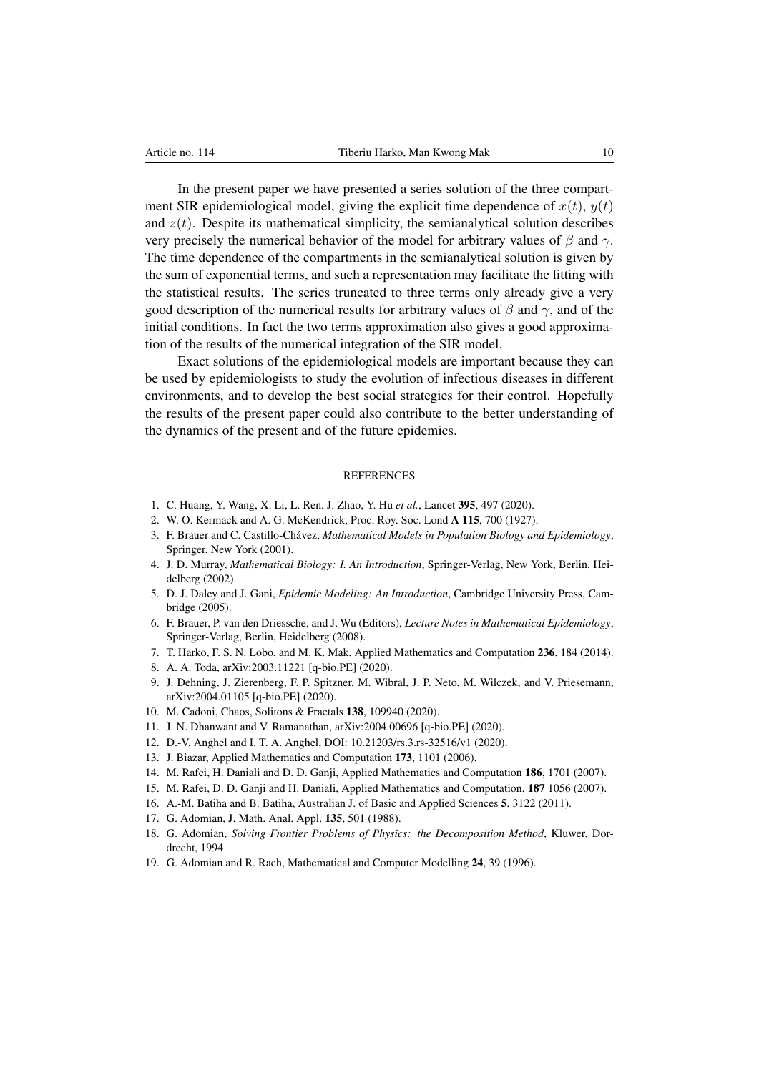In the present paper we have presented a series solution of the three compartment SIR epidemiological model, giving the explicit time dependence of  $x(t)$ ,  $y(t)$ and  $z(t)$ . Despite its mathematical simplicity, the semianalytical solution describes very precisely the numerical behavior of the model for arbitrary values of  $\beta$  and  $\gamma$ . The time dependence of the compartments in the semianalytical solution is given by the sum of exponential terms, and such a representation may facilitate the fitting with the statistical results. The series truncated to three terms only already give a very good description of the numerical results for arbitrary values of  $\beta$  and  $\gamma$ , and of the initial conditions. In fact the two terms approximation also gives a good approximation of the results of the numerical integration of the SIR model.

Exact solutions of the epidemiological models are important because they can be used by epidemiologists to study the evolution of infectious diseases in different environments, and to develop the best social strategies for their control. Hopefully the results of the present paper could also contribute to the better understanding of the dynamics of the present and of the future epidemics.

### **REFERENCES**

- 1. C. Huang, Y. Wang, X. Li, L. Ren, J. Zhao, Y. Hu *et al.*, Lancet 395, 497 (2020).
- 2. W. O. Kermack and A. G. McKendrick, Proc. Roy. Soc. Lond A 115, 700 (1927).
- 3. F. Brauer and C. Castillo-Chávez, *Mathematical Models in Population Biology and Epidemiology*, Springer, New York (2001).
- 4. J. D. Murray, *Mathematical Biology: I. An Introduction*, Springer-Verlag, New York, Berlin, Heidelberg (2002).
- 5. D. J. Daley and J. Gani, *Epidemic Modeling: An Introduction*, Cambridge University Press, Cambridge (2005).
- 6. F. Brauer, P. van den Driessche, and J. Wu (Editors), *Lecture Notes in Mathematical Epidemiology*, Springer-Verlag, Berlin, Heidelberg (2008).
- 7. T. Harko, F. S. N. Lobo, and M. K. Mak, Applied Mathematics and Computation 236, 184 (2014).
- 8. A. A. Toda, arXiv:2003.11221 [q-bio.PE] (2020).
- 9. J. Dehning, J. Zierenberg, F. P. Spitzner, M. Wibral, J. P. Neto, M. Wilczek, and V. Priesemann, arXiv:2004.01105 [q-bio.PE] (2020).
- 10. M. Cadoni, Chaos, Solitons & Fractals 138, 109940 (2020).
- 11. J. N. Dhanwant and V. Ramanathan, arXiv:2004.00696 [q-bio.PE] (2020).
- 12. D.-V. Anghel and I. T. A. Anghel, DOI: 10.21203/rs.3.rs-32516/v1 (2020).
- 13. J. Biazar, Applied Mathematics and Computation 173, 1101 (2006).
- 14. M. Rafei, H. Daniali and D. D. Ganji, Applied Mathematics and Computation 186, 1701 (2007).
- 15. M. Rafei, D. D. Ganji and H. Daniali, Applied Mathematics and Computation, 187 1056 (2007).
- 16. A.-M. Batiha and B. Batiha, Australian J. of Basic and Applied Sciences 5, 3122 (2011).
- 17. G. Adomian, J. Math. Anal. Appl. 135, 501 (1988).
- 18. G. Adomian, *Solving Frontier Problems of Physics: the Decomposition Method*, Kluwer, Dordrecht, 1994
- 19. G. Adomian and R. Rach, Mathematical and Computer Modelling 24, 39 (1996).